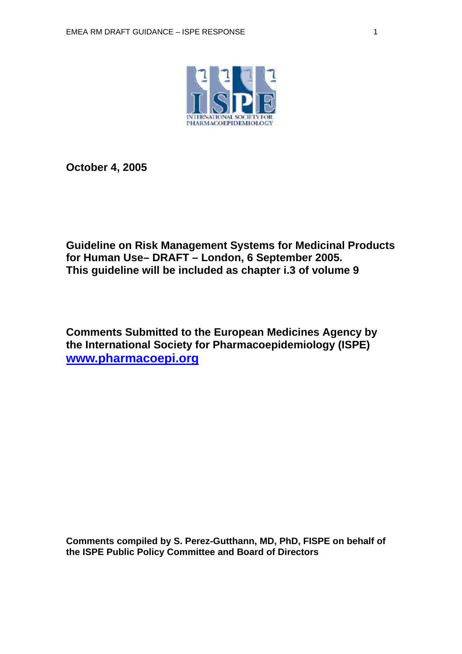

**October 4, 2005** 

**Guideline on Risk Management Systems for Medicinal Products for Human Use– DRAFT – London, 6 September 2005. This guideline will be included as chapter i.3 of volume 9** 

**Comments Submitted to the European Medicines Agency by the International Society for Pharmacoepidemiology (ISPE) [www.pharmacoepi.org](http://www.pharmacoepi.org/)**

**Comments compiled by S. Perez-Gutthann, MD, PhD, FISPE on behalf of the ISPE Public Policy Committee and Board of Directors**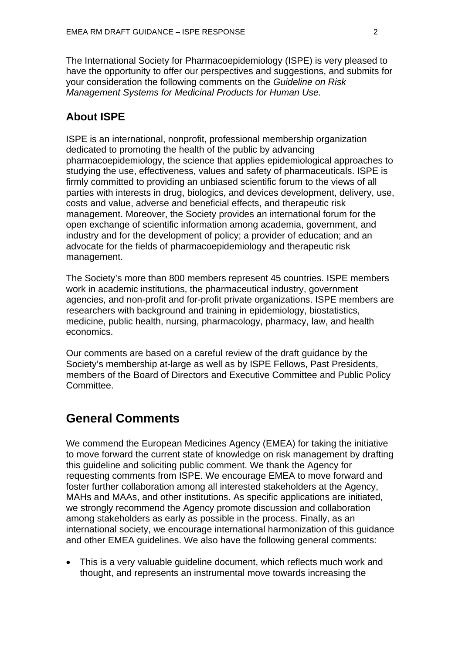The International Society for Pharmacoepidemiology (ISPE) is very pleased to have the opportunity to offer our perspectives and suggestions, and submits for your consideration the following comments on the *Guideline on Risk Management Systems for Medicinal Products for Human Use.* 

### **About ISPE**

ISPE is an international, nonprofit, professional membership organization dedicated to promoting the health of the public by advancing pharmacoepidemiology, the science that applies epidemiological approaches to studying the use, effectiveness, values and safety of pharmaceuticals. ISPE is firmly committed to providing an unbiased scientific forum to the views of all parties with interests in drug, biologics, and devices development, delivery, use, costs and value, adverse and beneficial effects, and therapeutic risk management. Moreover, the Society provides an international forum for the open exchange of scientific information among academia, government, and industry and for the development of policy; a provider of education; and an advocate for the fields of pharmacoepidemiology and therapeutic risk management.

The Society's more than 800 members represent 45 countries. ISPE members work in academic institutions, the pharmaceutical industry, government agencies, and non-profit and for-profit private organizations. ISPE members are researchers with background and training in epidemiology, biostatistics, medicine, public health, nursing, pharmacology, pharmacy, law, and health economics.

Our comments are based on a careful review of the draft guidance by the Society's membership at-large as well as by ISPE Fellows, Past Presidents, members of the Board of Directors and Executive Committee and Public Policy Committee.

# **General Comments**

We commend the European Medicines Agency (EMEA) for taking the initiative to move forward the current state of knowledge on risk management by drafting this guideline and soliciting public comment. We thank the Agency for requesting comments from ISPE. We encourage EMEA to move forward and foster further collaboration among all interested stakeholders at the Agency, MAHs and MAAs, and other institutions. As specific applications are initiated, we strongly recommend the Agency promote discussion and collaboration among stakeholders as early as possible in the process. Finally, as an international society, we encourage international harmonization of this guidance and other EMEA guidelines. We also have the following general comments:

• This is a very valuable guideline document, which reflects much work and thought, and represents an instrumental move towards increasing the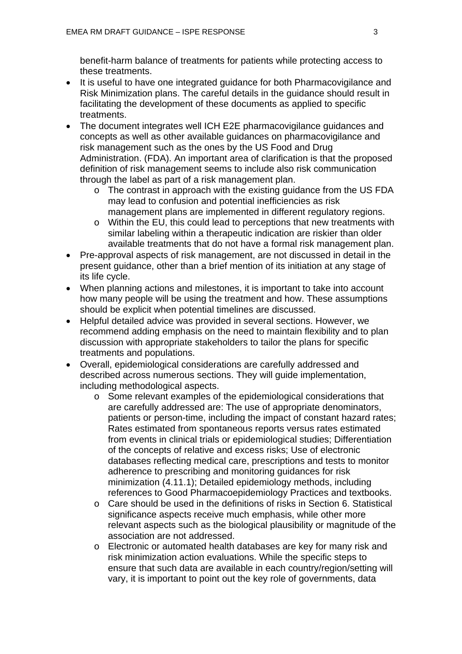benefit-harm balance of treatments for patients while protecting access to these treatments.

- It is useful to have one integrated guidance for both Pharmacovigilance and Risk Minimization plans. The careful details in the guidance should result in facilitating the development of these documents as applied to specific treatments.
- The document integrates well ICH E2E pharmacovigilance guidances and concepts as well as other available guidances on pharmacovigilance and risk management such as the ones by the US Food and Drug Administration. (FDA). An important area of clarification is that the proposed definition of risk management seems to include also risk communication through the label as part of a risk management plan.
	- o The contrast in approach with the existing guidance from the US FDA may lead to confusion and potential inefficiencies as risk management plans are implemented in different regulatory regions.
	- o Within the EU, this could lead to perceptions that new treatments with similar labeling within a therapeutic indication are riskier than older available treatments that do not have a formal risk management plan.
- Pre-approval aspects of risk management, are not discussed in detail in the present guidance, other than a brief mention of its initiation at any stage of its life cycle.
- When planning actions and milestones, it is important to take into account how many people will be using the treatment and how. These assumptions should be explicit when potential timelines are discussed.
- Helpful detailed advice was provided in several sections. However, we recommend adding emphasis on the need to maintain flexibility and to plan discussion with appropriate stakeholders to tailor the plans for specific treatments and populations.
- Overall, epidemiological considerations are carefully addressed and described across numerous sections. They will guide implementation, including methodological aspects.
	- o Some relevant examples of the epidemiological considerations that are carefully addressed are: The use of appropriate denominators, patients or person-time, including the impact of constant hazard rates; Rates estimated from spontaneous reports versus rates estimated from events in clinical trials or epidemiological studies; Differentiation of the concepts of relative and excess risks; Use of electronic databases reflecting medical care, prescriptions and tests to monitor adherence to prescribing and monitoring guidances for risk minimization (4.11.1); Detailed epidemiology methods, including references to Good Pharmacoepidemiology Practices and textbooks.
	- $\circ$  Care should be used in the definitions of risks in Section 6. Statistical significance aspects receive much emphasis, while other more relevant aspects such as the biological plausibility or magnitude of the association are not addressed.
	- o Electronic or automated health databases are key for many risk and risk minimization action evaluations. While the specific steps to ensure that such data are available in each country/region/setting will vary, it is important to point out the key role of governments, data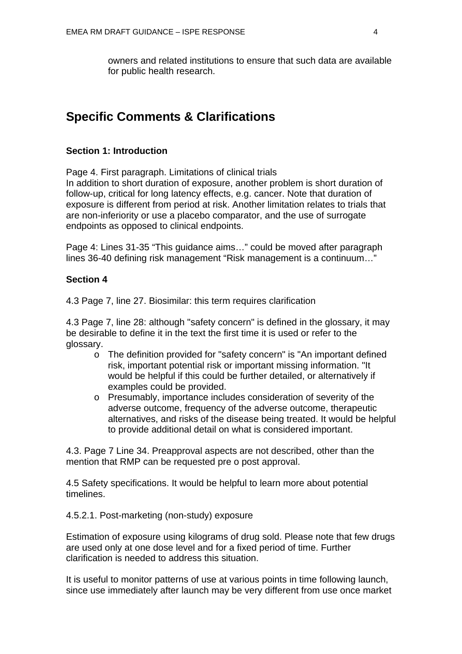owners and related institutions to ensure that such data are available for public health research.

## **Specific Comments & Clarifications**

#### **Section 1: Introduction**

Page 4. First paragraph. Limitations of clinical trials In addition to short duration of exposure, another problem is short duration of follow-up, critical for long latency effects, e.g. cancer. Note that duration of exposure is different from period at risk. Another limitation relates to trials that are non-inferiority or use a placebo comparator, and the use of surrogate endpoints as opposed to clinical endpoints.

Page 4: Lines 31-35 "This guidance aims…" could be moved after paragraph lines 36-40 defining risk management "Risk management is a continuum…"

### **Section 4**

4.3 Page 7, line 27. Biosimilar: this term requires clarification

4.3 Page 7, line 28: although "safety concern" is defined in the glossary, it may be desirable to define it in the text the first time it is used or refer to the glossary.

- o The definition provided for "safety concern" is "An important defined risk, important potential risk or important missing information. "It would be helpful if this could be further detailed, or alternatively if examples could be provided.
- o Presumably, importance includes consideration of severity of the adverse outcome, frequency of the adverse outcome, therapeutic alternatives, and risks of the disease being treated. It would be helpful to provide additional detail on what is considered important.

4.3. Page 7 Line 34. Preapproval aspects are not described, other than the mention that RMP can be requested pre o post approval.

4.5 Safety specifications. It would be helpful to learn more about potential timelines.

4.5.2.1. Post-marketing (non-study) exposure

Estimation of exposure using kilograms of drug sold. Please note that few drugs are used only at one dose level and for a fixed period of time. Further clarification is needed to address this situation.

It is useful to monitor patterns of use at various points in time following launch, since use immediately after launch may be very different from use once market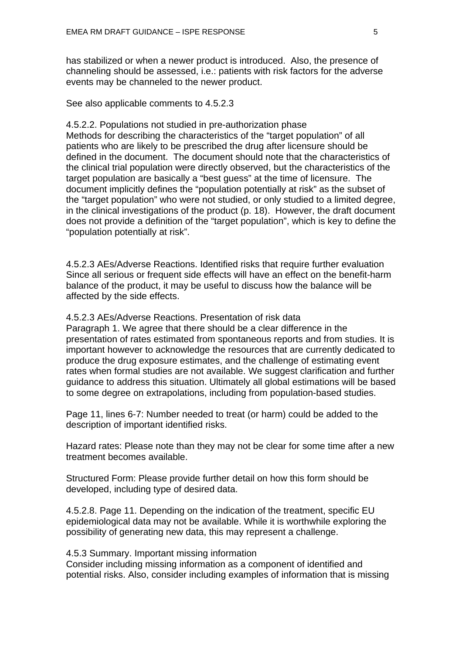has stabilized or when a newer product is introduced. Also, the presence of channeling should be assessed, i.e.: patients with risk factors for the adverse events may be channeled to the newer product.

See also applicable comments to 4.5.2.3

4.5.2.2. Populations not studied in pre-authorization phase Methods for describing the characteristics of the "target population" of all patients who are likely to be prescribed the drug after licensure should be defined in the document. The document should note that the characteristics of the clinical trial population were directly observed, but the characteristics of the target population are basically a "best guess" at the time of licensure. The document implicitly defines the "population potentially at risk" as the subset of the "target population" who were not studied, or only studied to a limited degree, in the clinical investigations of the product (p. 18). However, the draft document does not provide a definition of the "target population", which is key to define the "population potentially at risk".

4.5.2.3 AEs/Adverse Reactions. Identified risks that require further evaluation Since all serious or frequent side effects will have an effect on the benefit-harm balance of the product, it may be useful to discuss how the balance will be affected by the side effects.

4.5.2.3 AEs/Adverse Reactions. Presentation of risk data Paragraph 1. We agree that there should be a clear difference in the presentation of rates estimated from spontaneous reports and from studies. It is important however to acknowledge the resources that are currently dedicated to produce the drug exposure estimates, and the challenge of estimating event rates when formal studies are not available. We suggest clarification and further guidance to address this situation. Ultimately all global estimations will be based to some degree on extrapolations, including from population-based studies.

Page 11, lines 6-7: Number needed to treat (or harm) could be added to the description of important identified risks.

Hazard rates: Please note than they may not be clear for some time after a new treatment becomes available.

Structured Form: Please provide further detail on how this form should be developed, including type of desired data.

4.5.2.8. Page 11. Depending on the indication of the treatment, specific EU epidemiological data may not be available. While it is worthwhile exploring the possibility of generating new data, this may represent a challenge.

#### 4.5.3 Summary. Important missing information

Consider including missing information as a component of identified and potential risks. Also, consider including examples of information that is missing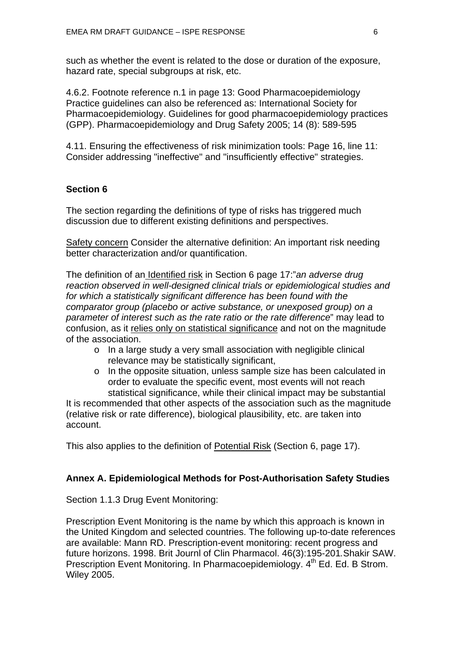such as whether the event is related to the dose or duration of the exposure, hazard rate, special subgroups at risk, etc.

4.6.2. Footnote reference n.1 in page 13: Good Pharmacoepidemiology Practice guidelines can also be referenced as: International Society for Pharmacoepidemiology. Guidelines for good pharmacoepidemiology practices (GPP). Pharmacoepidemiology and Drug Safety 2005; 14 (8): 589-595

4.11. Ensuring the effectiveness of risk minimization tools: Page 16, line 11: Consider addressing "ineffective" and "insufficiently effective" strategies.

### **Section 6**

The section regarding the definitions of type of risks has triggered much discussion due to different existing definitions and perspectives.

Safety concern Consider the alternative definition: An important risk needing better characterization and/or quantification.

The definition of an Identified risk in Section 6 page 17:"*an adverse drug reaction observed in well-designed clinical trials or epidemiological studies and for which a statistically significant difference has been found with the comparator group (placebo or active substance, or unexposed group) on a parameter of interest such as the rate ratio or the rate difference*" may lead to confusion, as it relies only on statistical significance and not on the magnitude of the association.

- o In a large study a very small association with negligible clinical relevance may be statistically significant,
- o In the opposite situation, unless sample size has been calculated in order to evaluate the specific event, most events will not reach statistical significance, while their clinical impact may be substantial

It is recommended that other aspects of the association such as the magnitude (relative risk or rate difference), biological plausibility, etc. are taken into account.

This also applies to the definition of Potential Risk (Section 6, page 17).

#### **Annex A. Epidemiological Methods for Post-Authorisation Safety Studies**

Section 1.1.3 Drug Event Monitoring:

Prescription Event Monitoring is the name by which this approach is known in the United Kingdom and selected countries. The following up-to-date references are available: Mann RD. Prescription-event monitoring: recent progress and future horizons. 1998. Brit Journl of Clin Pharmacol. 46(3):195-201*.*Shakir SAW. Prescription Event Monitoring. In Pharmacoepidemiology. 4<sup>th</sup> Ed. Ed. B Strom. Wiley 2005.